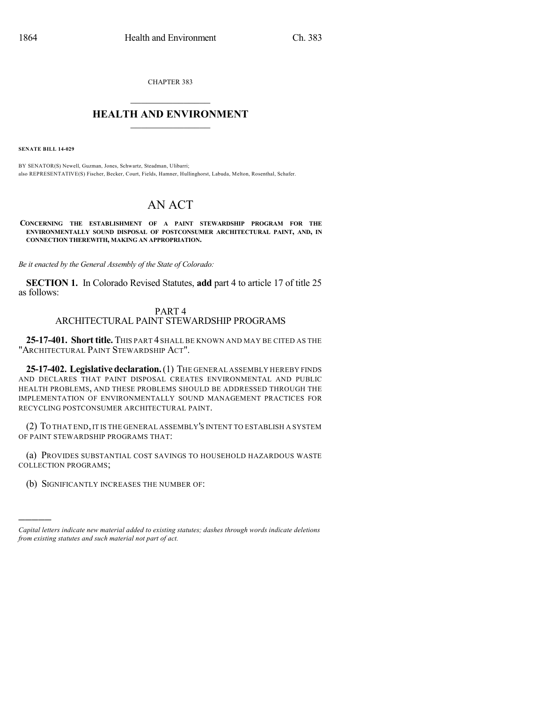CHAPTER 383

## $\mathcal{L}_\text{max}$  . The set of the set of the set of the set of the set of the set of the set of the set of the set of the set of the set of the set of the set of the set of the set of the set of the set of the set of the set **HEALTH AND ENVIRONMENT**  $\_$

**SENATE BILL 14-029**

)))))

BY SENATOR(S) Newell, Guzman, Jones, Schwartz, Steadman, Ulibarri; also REPRESENTATIVE(S) Fischer, Becker, Court, Fields, Hamner, Hullinghorst, Labuda, Melton, Rosenthal, Schafer.

## AN ACT

**CONCERNING THE ESTABLISHMENT OF A PAINT STEWARDSHIP PROGRAM FOR THE ENVIRONMENTALLY SOUND DISPOSAL OF POSTCONSUMER ARCHITECTURAL PAINT, AND, IN CONNECTION THEREWITH, MAKING AN APPROPRIATION.**

*Be it enacted by the General Assembly of the State of Colorado:*

**SECTION 1.** In Colorado Revised Statutes, **add** part 4 to article 17 of title 25 as follows:

## PART 4 ARCHITECTURAL PAINT STEWARDSHIP PROGRAMS

**25-17-401. Short title.** THIS PART 4 SHALL BE KNOWN AND MAY BE CITED AS THE "ARCHITECTURAL PAINT STEWARDSHIP ACT".

**25-17-402. Legislativedeclaration.**(1) THE GENERAL ASSEMBLY HEREBY FINDS AND DECLARES THAT PAINT DISPOSAL CREATES ENVIRONMENTAL AND PUBLIC HEALTH PROBLEMS, AND THESE PROBLEMS SHOULD BE ADDRESSED THROUGH THE IMPLEMENTATION OF ENVIRONMENTALLY SOUND MANAGEMENT PRACTICES FOR RECYCLING POSTCONSUMER ARCHITECTURAL PAINT.

(2) TO THAT END,IT IS THE GENERAL ASSEMBLY'S INTENT TO ESTABLISH A SYSTEM OF PAINT STEWARDSHIP PROGRAMS THAT:

(a) PROVIDES SUBSTANTIAL COST SAVINGS TO HOUSEHOLD HAZARDOUS WASTE COLLECTION PROGRAMS;

(b) SIGNIFICANTLY INCREASES THE NUMBER OF:

*Capital letters indicate new material added to existing statutes; dashes through words indicate deletions from existing statutes and such material not part of act.*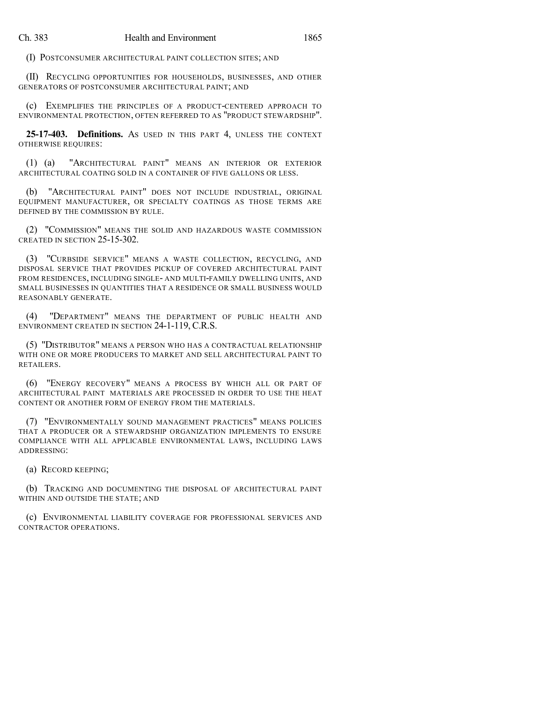(I) POSTCONSUMER ARCHITECTURAL PAINT COLLECTION SITES; AND

(II) RECYCLING OPPORTUNITIES FOR HOUSEHOLDS, BUSINESSES, AND OTHER GENERATORS OF POSTCONSUMER ARCHITECTURAL PAINT; AND

(c) EXEMPLIFIES THE PRINCIPLES OF A PRODUCT-CENTERED APPROACH TO ENVIRONMENTAL PROTECTION, OFTEN REFERRED TO AS "PRODUCT STEWARDSHIP".

**25-17-403. Definitions.** AS USED IN THIS PART 4, UNLESS THE CONTEXT OTHERWISE REQUIRES:

(1) (a) "ARCHITECTURAL PAINT" MEANS AN INTERIOR OR EXTERIOR ARCHITECTURAL COATING SOLD IN A CONTAINER OF FIVE GALLONS OR LESS.

(b) "ARCHITECTURAL PAINT" DOES NOT INCLUDE INDUSTRIAL, ORIGINAL EQUIPMENT MANUFACTURER, OR SPECIALTY COATINGS AS THOSE TERMS ARE DEFINED BY THE COMMISSION BY RULE.

(2) "COMMISSION" MEANS THE SOLID AND HAZARDOUS WASTE COMMISSION CREATED IN SECTION 25-15-302.

(3) "CURBSIDE SERVICE" MEANS A WASTE COLLECTION, RECYCLING, AND DISPOSAL SERVICE THAT PROVIDES PICKUP OF COVERED ARCHITECTURAL PAINT FROM RESIDENCES, INCLUDING SINGLE- AND MULTI-FAMILY DWELLING UNITS, AND SMALL BUSINESSES IN QUANTITIES THAT A RESIDENCE OR SMALL BUSINESS WOULD REASONABLY GENERATE.

(4) "DEPARTMENT" MEANS THE DEPARTMENT OF PUBLIC HEALTH AND ENVIRONMENT CREATED IN SECTION 24-1-119, C.R.S.

(5) "DISTRIBUTOR" MEANS A PERSON WHO HAS A CONTRACTUAL RELATIONSHIP WITH ONE OR MORE PRODUCERS TO MARKET AND SELL ARCHITECTURAL PAINT TO RETAILERS.

(6) "ENERGY RECOVERY" MEANS A PROCESS BY WHICH ALL OR PART OF ARCHITECTURAL PAINT MATERIALS ARE PROCESSED IN ORDER TO USE THE HEAT CONTENT OR ANOTHER FORM OF ENERGY FROM THE MATERIALS.

(7) "ENVIRONMENTALLY SOUND MANAGEMENT PRACTICES" MEANS POLICIES THAT A PRODUCER OR A STEWARDSHIP ORGANIZATION IMPLEMENTS TO ENSURE COMPLIANCE WITH ALL APPLICABLE ENVIRONMENTAL LAWS, INCLUDING LAWS ADDRESSING:

(a) RECORD KEEPING;

(b) TRACKING AND DOCUMENTING THE DISPOSAL OF ARCHITECTURAL PAINT WITHIN AND OUTSIDE THE STATE; AND

(c) ENVIRONMENTAL LIABILITY COVERAGE FOR PROFESSIONAL SERVICES AND CONTRACTOR OPERATIONS.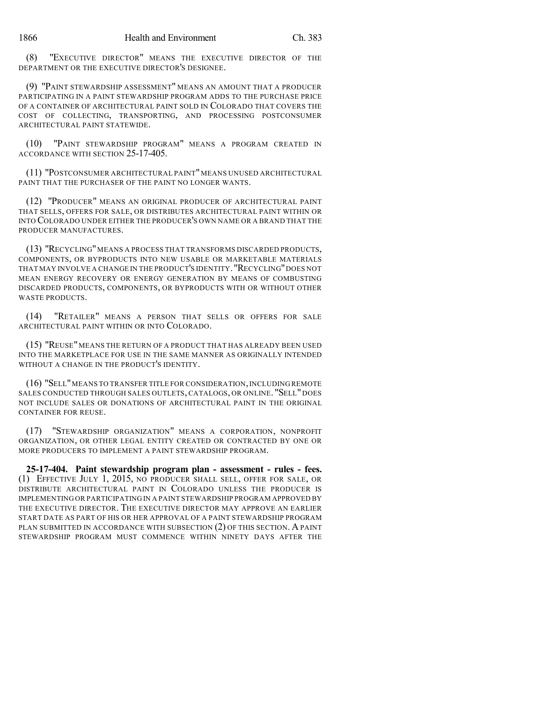(8) "EXECUTIVE DIRECTOR" MEANS THE EXECUTIVE DIRECTOR OF THE DEPARTMENT OR THE EXECUTIVE DIRECTOR'S DESIGNEE.

(9) "PAINT STEWARDSHIP ASSESSMENT" MEANS AN AMOUNT THAT A PRODUCER PARTICIPATING IN A PAINT STEWARDSHIP PROGRAM ADDS TO THE PURCHASE PRICE OF A CONTAINER OF ARCHITECTURAL PAINT SOLD IN COLORADO THAT COVERS THE COST OF COLLECTING, TRANSPORTING, AND PROCESSING POSTCONSUMER ARCHITECTURAL PAINT STATEWIDE.

(10) "PAINT STEWARDSHIP PROGRAM" MEANS A PROGRAM CREATED IN ACCORDANCE WITH SECTION 25-17-405.

(11) "POSTCONSUMER ARCHITECTURAL PAINT"MEANS UNUSED ARCHITECTURAL PAINT THAT THE PURCHASER OF THE PAINT NO LONGER WANTS.

(12) "PRODUCER" MEANS AN ORIGINAL PRODUCER OF ARCHITECTURAL PAINT THAT SELLS, OFFERS FOR SALE, OR DISTRIBUTES ARCHITECTURAL PAINT WITHIN OR INTO COLORADO UNDER EITHER THE PRODUCER'S OWN NAME OR A BRAND THAT THE PRODUCER MANUFACTURES.

(13) "RECYCLING"MEANS A PROCESS THAT TRANSFORMS DISCARDED PRODUCTS, COMPONENTS, OR BYPRODUCTS INTO NEW USABLE OR MARKETABLE MATERIALS THAT MAY INVOLVE A CHANGE IN THE PRODUCT'S IDENTITY."RECYCLING"DOES NOT MEAN ENERGY RECOVERY OR ENERGY GENERATION BY MEANS OF COMBUSTING DISCARDED PRODUCTS, COMPONENTS, OR BYPRODUCTS WITH OR WITHOUT OTHER WASTE PRODUCTS.

(14) "RETAILER" MEANS A PERSON THAT SELLS OR OFFERS FOR SALE ARCHITECTURAL PAINT WITHIN OR INTO COLORADO.

(15) "REUSE"MEANS THE RETURN OF A PRODUCT THAT HAS ALREADY BEEN USED INTO THE MARKETPLACE FOR USE IN THE SAME MANNER AS ORIGINALLY INTENDED WITHOUT A CHANGE IN THE PRODUCT'S IDENTITY.

(16) "SELL"MEANS TO TRANSFER TITLE FOR CONSIDERATION,INCLUDING REMOTE SALES CONDUCTED THROUGH SALES OUTLETS, CATALOGS, OR ONLINE. "SELL" DOES NOT INCLUDE SALES OR DONATIONS OF ARCHITECTURAL PAINT IN THE ORIGINAL CONTAINER FOR REUSE.

(17) "STEWARDSHIP ORGANIZATION" MEANS A CORPORATION, NONPROFIT ORGANIZATION, OR OTHER LEGAL ENTITY CREATED OR CONTRACTED BY ONE OR MORE PRODUCERS TO IMPLEMENT A PAINT STEWARDSHIP PROGRAM.

**25-17-404. Paint stewardship program plan - assessment - rules - fees.** (1) EFFECTIVE JULY 1, 2015, NO PRODUCER SHALL SELL, OFFER FOR SALE, OR DISTRIBUTE ARCHITECTURAL PAINT IN COLORADO UNLESS THE PRODUCER IS IMPLEMENTING OR PARTICIPATING IN A PAINT STEWARDSHIP PROGRAM APPROVED BY THE EXECUTIVE DIRECTOR. THE EXECUTIVE DIRECTOR MAY APPROVE AN EARLIER START DATE AS PART OF HIS OR HER APPROVAL OF A PAINT STEWARDSHIP PROGRAM PLAN SUBMITTED IN ACCORDANCE WITH SUBSECTION (2) OF THIS SECTION. A PAINT STEWARDSHIP PROGRAM MUST COMMENCE WITHIN NINETY DAYS AFTER THE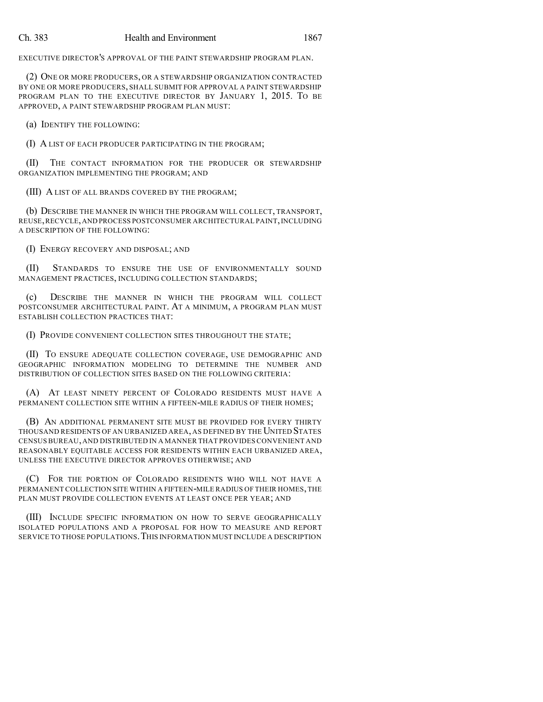EXECUTIVE DIRECTOR'S APPROVAL OF THE PAINT STEWARDSHIP PROGRAM PLAN.

(2) ONE OR MORE PRODUCERS, OR A STEWARDSHIP ORGANIZATION CONTRACTED BY ONE OR MORE PRODUCERS, SHALL SUBMIT FOR APPROVAL A PAINT STEWARDSHIP PROGRAM PLAN TO THE EXECUTIVE DIRECTOR BY JANUARY 1, 2015. TO BE APPROVED, A PAINT STEWARDSHIP PROGRAM PLAN MUST:

(a) IDENTIFY THE FOLLOWING:

(I) A LIST OF EACH PRODUCER PARTICIPATING IN THE PROGRAM;

THE CONTACT INFORMATION FOR THE PRODUCER OR STEWARDSHIP ORGANIZATION IMPLEMENTING THE PROGRAM; AND

(III) A LIST OF ALL BRANDS COVERED BY THE PROGRAM;

(b) DESCRIBE THE MANNER IN WHICH THE PROGRAM WILL COLLECT, TRANSPORT, REUSE,RECYCLE,AND PROCESS POSTCONSUMER ARCHITECTURAL PAINT,INCLUDING A DESCRIPTION OF THE FOLLOWING:

(I) ENERGY RECOVERY AND DISPOSAL; AND

(II) STANDARDS TO ENSURE THE USE OF ENVIRONMENTALLY SOUND MANAGEMENT PRACTICES, INCLUDING COLLECTION STANDARDS;

(c) DESCRIBE THE MANNER IN WHICH THE PROGRAM WILL COLLECT POSTCONSUMER ARCHITECTURAL PAINT. AT A MINIMUM, A PROGRAM PLAN MUST ESTABLISH COLLECTION PRACTICES THAT:

(I) PROVIDE CONVENIENT COLLECTION SITES THROUGHOUT THE STATE;

(II) TO ENSURE ADEQUATE COLLECTION COVERAGE, USE DEMOGRAPHIC AND GEOGRAPHIC INFORMATION MODELING TO DETERMINE THE NUMBER AND DISTRIBUTION OF COLLECTION SITES BASED ON THE FOLLOWING CRITERIA:

(A) AT LEAST NINETY PERCENT OF COLORADO RESIDENTS MUST HAVE A PERMANENT COLLECTION SITE WITHIN A FIFTEEN-MILE RADIUS OF THEIR HOMES;

(B) AN ADDITIONAL PERMANENT SITE MUST BE PROVIDED FOR EVERY THIRTY THOUSAND RESIDENTS OF AN URBANIZED AREA, AS DEFINED BY THE UNITED STATES CENSUS BUREAU,AND DISTRIBUTED IN A MANNER THAT PROVIDES CONVENIENT AND REASONABLY EQUITABLE ACCESS FOR RESIDENTS WITHIN EACH URBANIZED AREA, UNLESS THE EXECUTIVE DIRECTOR APPROVES OTHERWISE; AND

(C) FOR THE PORTION OF COLORADO RESIDENTS WHO WILL NOT HAVE A PERMANENT COLLECTION SITE WITHIN A FIFTEEN-MILE RADIUS OF THEIR HOMES,THE PLAN MUST PROVIDE COLLECTION EVENTS AT LEAST ONCE PER YEAR; AND

(III) INCLUDE SPECIFIC INFORMATION ON HOW TO SERVE GEOGRAPHICALLY ISOLATED POPULATIONS AND A PROPOSAL FOR HOW TO MEASURE AND REPORT SERVICE TO THOSE POPULATIONS. THIS INFORMATION MUST INCLUDE A DESCRIPTION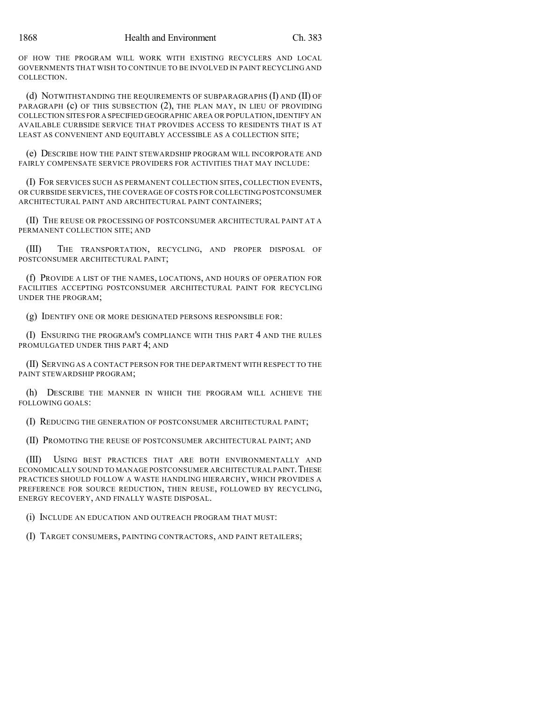OF HOW THE PROGRAM WILL WORK WITH EXISTING RECYCLERS AND LOCAL GOVERNMENTS THAT WISH TO CONTINUE TO BE INVOLVED IN PAINT RECYCLING AND COLLECTION.

(d) NOTWITHSTANDING THE REQUIREMENTS OF SUBPARAGRAPHS (I) AND (II) OF PARAGRAPH (c) OF THIS SUBSECTION (2), THE PLAN MAY, IN LIEU OF PROVIDING COLLECTION SITES FOR A SPECIFIED GEOGRAPHIC AREA OR POPULATION, IDENTIFY AN AVAILABLE CURBSIDE SERVICE THAT PROVIDES ACCESS TO RESIDENTS THAT IS AT LEAST AS CONVENIENT AND EQUITABLY ACCESSIBLE AS A COLLECTION SITE;

(e) DESCRIBE HOW THE PAINT STEWARDSHIP PROGRAM WILL INCORPORATE AND FAIRLY COMPENSATE SERVICE PROVIDERS FOR ACTIVITIES THAT MAY INCLUDE:

(I) FOR SERVICES SUCH AS PERMANENT COLLECTION SITES, COLLECTION EVENTS, OR CURBSIDE SERVICES, THE COVERAGE OF COSTS FOR COLLECTING POSTCONSUMER ARCHITECTURAL PAINT AND ARCHITECTURAL PAINT CONTAINERS;

(II) THE REUSE OR PROCESSING OF POSTCONSUMER ARCHITECTURAL PAINT AT A PERMANENT COLLECTION SITE; AND

(III) THE TRANSPORTATION, RECYCLING, AND PROPER DISPOSAL OF POSTCONSUMER ARCHITECTURAL PAINT;

(f) PROVIDE A LIST OF THE NAMES, LOCATIONS, AND HOURS OF OPERATION FOR FACILITIES ACCEPTING POSTCONSUMER ARCHITECTURAL PAINT FOR RECYCLING UNDER THE PROGRAM;

(g) IDENTIFY ONE OR MORE DESIGNATED PERSONS RESPONSIBLE FOR:

(I) ENSURING THE PROGRAM'S COMPLIANCE WITH THIS PART 4 AND THE RULES PROMULGATED UNDER THIS PART 4; AND

(II) SERVING AS A CONTACT PERSON FOR THE DEPARTMENT WITH RESPECT TO THE PAINT STEWARDSHIP PROGRAM;

(h) DESCRIBE THE MANNER IN WHICH THE PROGRAM WILL ACHIEVE THE FOLLOWING GOALS:

(I) REDUCING THE GENERATION OF POSTCONSUMER ARCHITECTURAL PAINT;

(II) PROMOTING THE REUSE OF POSTCONSUMER ARCHITECTURAL PAINT; AND

(III) USING BEST PRACTICES THAT ARE BOTH ENVIRONMENTALLY AND ECONOMICALLY SOUND TO MANAGE POSTCONSUMER ARCHITECTURAL PAINT. THESE PRACTICES SHOULD FOLLOW A WASTE HANDLING HIERARCHY, WHICH PROVIDES A PREFERENCE FOR SOURCE REDUCTION, THEN REUSE, FOLLOWED BY RECYCLING, ENERGY RECOVERY, AND FINALLY WASTE DISPOSAL.

(i) INCLUDE AN EDUCATION AND OUTREACH PROGRAM THAT MUST:

(I) TARGET CONSUMERS, PAINTING CONTRACTORS, AND PAINT RETAILERS;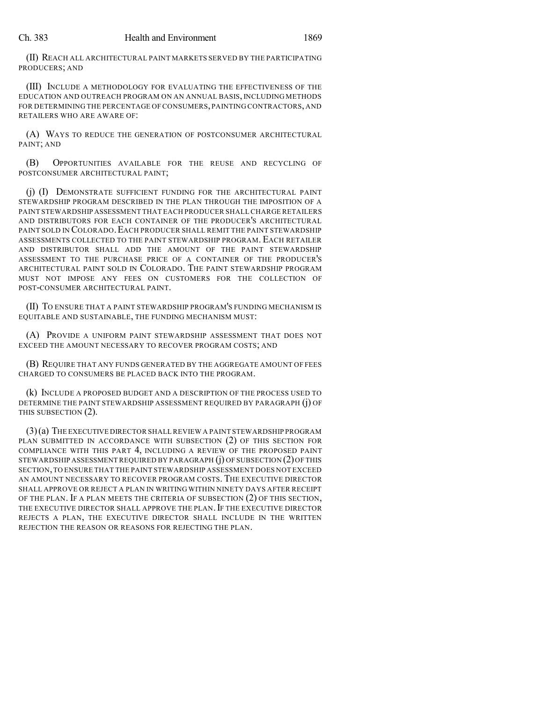(II) REACH ALL ARCHITECTURAL PAINT MARKETS SERVED BY THE PARTICIPATING PRODUCERS; AND

(III) INCLUDE A METHODOLOGY FOR EVALUATING THE EFFECTIVENESS OF THE EDUCATION AND OUTREACH PROGRAM ON AN ANNUAL BASIS, INCLUDING METHODS FOR DETERMINING THE PERCENTAGE OF CONSUMERS, PAINTING CONTRACTORS, AND RETAILERS WHO ARE AWARE OF:

(A) WAYS TO REDUCE THE GENERATION OF POSTCONSUMER ARCHITECTURAL PAINT; AND

(B) OPPORTUNITIES AVAILABLE FOR THE REUSE AND RECYCLING OF POSTCONSUMER ARCHITECTURAL PAINT;

(i) (I) DEMONSTRATE SUFFICIENT FUNDING FOR THE ARCHITECTURAL PAINT STEWARDSHIP PROGRAM DESCRIBED IN THE PLAN THROUGH THE IMPOSITION OF A PAINT STEWARDSHIP ASSESSMENT THAT EACH PRODUCER SHALL CHARGE RETAILERS AND DISTRIBUTORS FOR EACH CONTAINER OF THE PRODUCER'S ARCHITECTURAL PAINT SOLD IN COLORADO. EACH PRODUCER SHALL REMIT THE PAINT STEWARDSHIP ASSESSMENTS COLLECTED TO THE PAINT STEWARDSHIP PROGRAM. EACH RETAILER AND DISTRIBUTOR SHALL ADD THE AMOUNT OF THE PAINT STEWARDSHIP ASSESSMENT TO THE PURCHASE PRICE OF A CONTAINER OF THE PRODUCER'S ARCHITECTURAL PAINT SOLD IN COLORADO. THE PAINT STEWARDSHIP PROGRAM MUST NOT IMPOSE ANY FEES ON CUSTOMERS FOR THE COLLECTION OF POST-CONSUMER ARCHITECTURAL PAINT.

(II) TO ENSURE THAT A PAINT STEWARDSHIP PROGRAM'S FUNDING MECHANISM IS EQUITABLE AND SUSTAINABLE, THE FUNDING MECHANISM MUST:

(A) PROVIDE A UNIFORM PAINT STEWARDSHIP ASSESSMENT THAT DOES NOT EXCEED THE AMOUNT NECESSARY TO RECOVER PROGRAM COSTS; AND

(B) REQUIRE THAT ANY FUNDS GENERATED BY THE AGGREGATE AMOUNT OF FEES CHARGED TO CONSUMERS BE PLACED BACK INTO THE PROGRAM.

(k) INCLUDE A PROPOSED BUDGET AND A DESCRIPTION OF THE PROCESS USED TO DETERMINE THE PAINT STEWARDSHIP ASSESSMENT REQUIRED BY PARAGRAPH (j) OF THIS SUBSECTION (2).

(3)(a) THE EXECUTIVE DIRECTOR SHALL REVIEW A PAINT STEWARDSHIP PROGRAM PLAN SUBMITTED IN ACCORDANCE WITH SUBSECTION (2) OF THIS SECTION FOR COMPLIANCE WITH THIS PART 4, INCLUDING A REVIEW OF THE PROPOSED PAINT STEWARDSHIP ASSESSMENT REQUIRED BY PARAGRAPH (j) OF SUBSECTION (2)OF THIS SECTION,TO ENSURE THAT THE PAINT STEWARDSHIP ASSESSMENT DOES NOT EXCEED AN AMOUNT NECESSARY TO RECOVER PROGRAM COSTS. THE EXECUTIVE DIRECTOR SHALL APPROVE OR REJECT A PLAN IN WRITING WITHIN NINETY DAYS AFTER RECEIPT OF THE PLAN. IF A PLAN MEETS THE CRITERIA OF SUBSECTION (2) OF THIS SECTION, THE EXECUTIVE DIRECTOR SHALL APPROVE THE PLAN. IF THE EXECUTIVE DIRECTOR REJECTS A PLAN, THE EXECUTIVE DIRECTOR SHALL INCLUDE IN THE WRITTEN REJECTION THE REASON OR REASONS FOR REJECTING THE PLAN.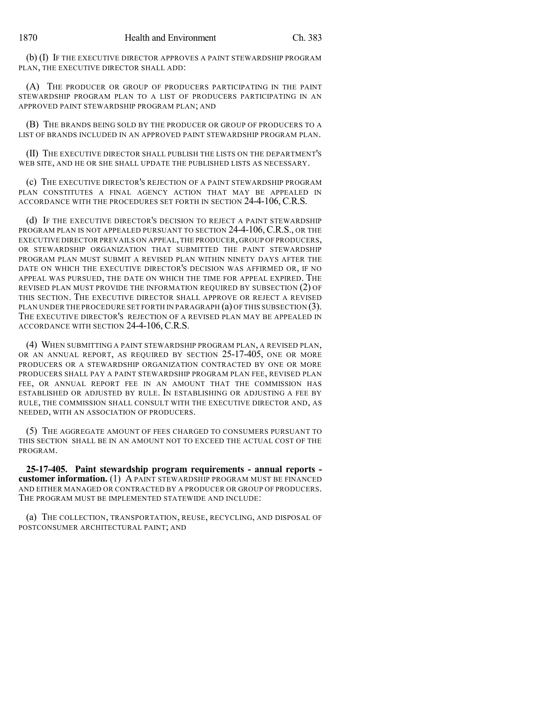(b) (I) IF THE EXECUTIVE DIRECTOR APPROVES A PAINT STEWARDSHIP PROGRAM PLAN, THE EXECUTIVE DIRECTOR SHALL ADD:

(A) THE PRODUCER OR GROUP OF PRODUCERS PARTICIPATING IN THE PAINT STEWARDSHIP PROGRAM PLAN TO A LIST OF PRODUCERS PARTICIPATING IN AN APPROVED PAINT STEWARDSHIP PROGRAM PLAN; AND

(B) THE BRANDS BEING SOLD BY THE PRODUCER OR GROUP OF PRODUCERS TO A LIST OF BRANDS INCLUDED IN AN APPROVED PAINT STEWARDSHIP PROGRAM PLAN.

(II) THE EXECUTIVE DIRECTOR SHALL PUBLISH THE LISTS ON THE DEPARTMENT'S WEB SITE, AND HE OR SHE SHALL UPDATE THE PUBLISHED LISTS AS NECESSARY.

(c) THE EXECUTIVE DIRECTOR'S REJECTION OF A PAINT STEWARDSHIP PROGRAM PLAN CONSTITUTES A FINAL AGENCY ACTION THAT MAY BE APPEALED IN ACCORDANCE WITH THE PROCEDURES SET FORTH IN SECTION 24-4-106, C.R.S.

(d) IF THE EXECUTIVE DIRECTOR'S DECISION TO REJECT A PAINT STEWARDSHIP PROGRAM PLAN IS NOT APPEALED PURSUANT TO SECTION 24-4-106, C.R.S., OR THE EXECUTIVE DIRECTOR PREVAILS ON APPEAL,THE PRODUCER, GROUP OF PRODUCERS, OR STEWARDSHIP ORGANIZATION THAT SUBMITTED THE PAINT STEWARDSHIP PROGRAM PLAN MUST SUBMIT A REVISED PLAN WITHIN NINETY DAYS AFTER THE DATE ON WHICH THE EXECUTIVE DIRECTOR'S DECISION WAS AFFIRMED OR, IF NO APPEAL WAS PURSUED, THE DATE ON WHICH THE TIME FOR APPEAL EXPIRED. THE REVISED PLAN MUST PROVIDE THE INFORMATION REQUIRED BY SUBSECTION (2) OF THIS SECTION. THE EXECUTIVE DIRECTOR SHALL APPROVE OR REJECT A REVISED PLAN UNDER THE PROCEDURE SET FORTH IN PARAGRAPH (a) OF THIS SUBSECTION (3). THE EXECUTIVE DIRECTOR'S REJECTION OF A REVISED PLAN MAY BE APPEALED IN ACCORDANCE WITH SECTION 24-4-106, C.R.S.

(4) WHEN SUBMITTING A PAINT STEWARDSHIP PROGRAM PLAN, A REVISED PLAN, OR AN ANNUAL REPORT, AS REQUIRED BY SECTION 25-17-405, ONE OR MORE PRODUCERS OR A STEWARDSHIP ORGANIZATION CONTRACTED BY ONE OR MORE PRODUCERS SHALL PAY A PAINT STEWARDSHIP PROGRAM PLAN FEE, REVISED PLAN FEE, OR ANNUAL REPORT FEE IN AN AMOUNT THAT THE COMMISSION HAS ESTABLISHED OR ADJUSTED BY RULE. IN ESTABLISHING OR ADJUSTING A FEE BY RULE, THE COMMISSION SHALL CONSULT WITH THE EXECUTIVE DIRECTOR AND, AS NEEDED, WITH AN ASSOCIATION OF PRODUCERS.

(5) THE AGGREGATE AMOUNT OF FEES CHARGED TO CONSUMERS PURSUANT TO THIS SECTION SHALL BE IN AN AMOUNT NOT TO EXCEED THE ACTUAL COST OF THE PROGRAM.

**25-17-405. Paint stewardship program requirements - annual reports customer information.** (1) A PAINT STEWARDSHIP PROGRAM MUST BE FINANCED AND EITHER MANAGED OR CONTRACTED BY A PRODUCER OR GROUP OF PRODUCERS. THE PROGRAM MUST BE IMPLEMENTED STATEWIDE AND INCLUDE:

(a) THE COLLECTION, TRANSPORTATION, REUSE, RECYCLING, AND DISPOSAL OF POSTCONSUMER ARCHITECTURAL PAINT; AND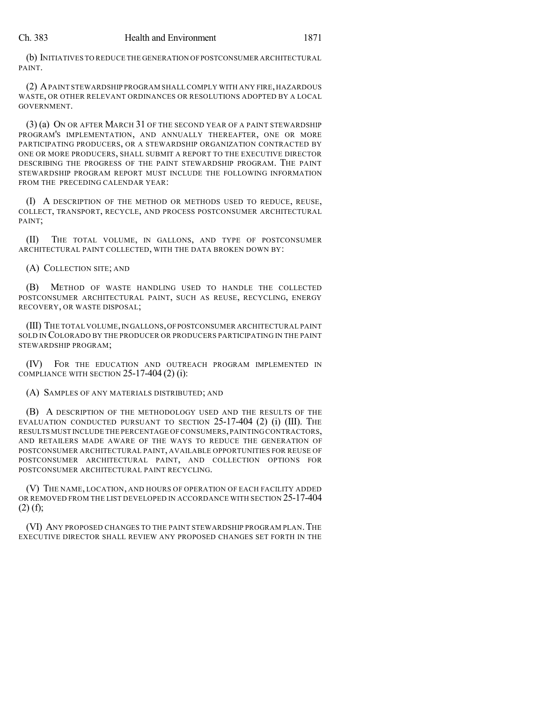(b) INITIATIVES TO REDUCE THE GENERATION OFPOSTCONSUMER ARCHITECTURAL PAINT.

(2) APAINT STEWARDSHIP PROGRAM SHALL COMPLY WITH ANY FIRE, HAZARDOUS WASTE, OR OTHER RELEVANT ORDINANCES OR RESOLUTIONS ADOPTED BY A LOCAL **GOVERNMENT** 

(3) (a) ON OR AFTER MARCH 31 OF THE SECOND YEAR OF A PAINT STEWARDSHIP PROGRAM'S IMPLEMENTATION, AND ANNUALLY THEREAFTER, ONE OR MORE PARTICIPATING PRODUCERS, OR A STEWARDSHIP ORGANIZATION CONTRACTED BY ONE OR MORE PRODUCERS, SHALL SUBMIT A REPORT TO THE EXECUTIVE DIRECTOR DESCRIBING THE PROGRESS OF THE PAINT STEWARDSHIP PROGRAM. THE PAINT STEWARDSHIP PROGRAM REPORT MUST INCLUDE THE FOLLOWING INFORMATION FROM THE PRECEDING CALENDAR YEAR:

(I) A DESCRIPTION OF THE METHOD OR METHODS USED TO REDUCE, REUSE, COLLECT, TRANSPORT, RECYCLE, AND PROCESS POSTCONSUMER ARCHITECTURAL PAINT;

(II) THE TOTAL VOLUME, IN GALLONS, AND TYPE OF POSTCONSUMER ARCHITECTURAL PAINT COLLECTED, WITH THE DATA BROKEN DOWN BY:

(A) COLLECTION SITE; AND

(B) METHOD OF WASTE HANDLING USED TO HANDLE THE COLLECTED POSTCONSUMER ARCHITECTURAL PAINT, SUCH AS REUSE, RECYCLING, ENERGY RECOVERY, OR WASTE DISPOSAL;

(III) THE TOTAL VOLUME,IN GALLONS,OFPOSTCONSUMER ARCHITECTURAL PAINT SOLD IN COLORADO BY THE PRODUCER OR PRODUCERS PARTICIPATING IN THE PAINT STEWARDSHIP PROGRAM;

(IV) FOR THE EDUCATION AND OUTREACH PROGRAM IMPLEMENTED IN COMPLIANCE WITH SECTION  $25-17-404(2)$  (i):

(A) SAMPLES OF ANY MATERIALS DISTRIBUTED; AND

(B) A DESCRIPTION OF THE METHODOLOGY USED AND THE RESULTS OF THE EVALUATION CONDUCTED PURSUANT TO SECTION 25-17-404 (2) (i) (III). THE RESULTS MUST INCLUDE THE PERCENTAGE OF CONSUMERS,PAINTINGCONTRACTORS, AND RETAILERS MADE AWARE OF THE WAYS TO REDUCE THE GENERATION OF POSTCONSUMER ARCHITECTURAL PAINT, AVAILABLE OPPORTUNITIES FOR REUSE OF POSTCONSUMER ARCHITECTURAL PAINT, AND COLLECTION OPTIONS FOR POSTCONSUMER ARCHITECTURAL PAINT RECYCLING.

(V) THE NAME, LOCATION, AND HOURS OF OPERATION OF EACH FACILITY ADDED OR REMOVED FROM THE LIST DEVELOPED IN ACCORDANCE WITH SECTION 25-17-404  $(2)$  (f);

(VI) ANY PROPOSED CHANGES TO THE PAINT STEWARDSHIP PROGRAM PLAN. THE EXECUTIVE DIRECTOR SHALL REVIEW ANY PROPOSED CHANGES SET FORTH IN THE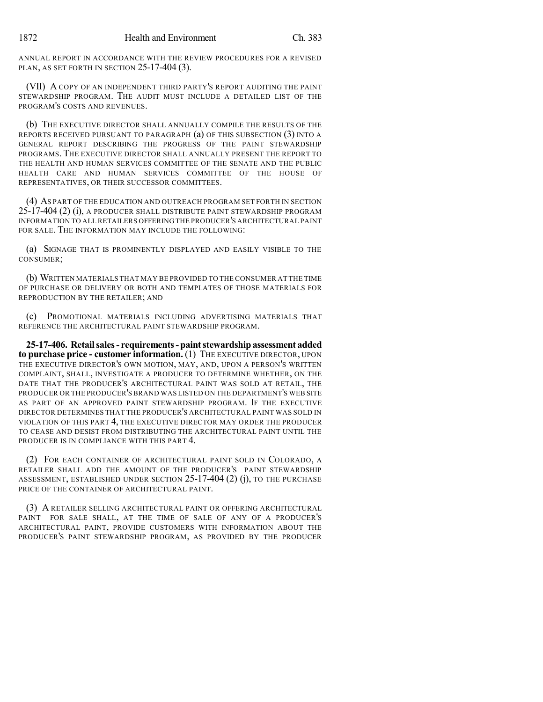ANNUAL REPORT IN ACCORDANCE WITH THE REVIEW PROCEDURES FOR A REVISED PLAN, AS SET FORTH IN SECTION 25-17-404 (3).

(VII) A COPY OF AN INDEPENDENT THIRD PARTY'S REPORT AUDITING THE PAINT STEWARDSHIP PROGRAM. THE AUDIT MUST INCLUDE A DETAILED LIST OF THE PROGRAM'S COSTS AND REVENUES.

(b) THE EXECUTIVE DIRECTOR SHALL ANNUALLY COMPILE THE RESULTS OF THE REPORTS RECEIVED PURSUANT TO PARAGRAPH (a) OF THIS SUBSECTION (3) INTO A GENERAL REPORT DESCRIBING THE PROGRESS OF THE PAINT STEWARDSHIP PROGRAMS. THE EXECUTIVE DIRECTOR SHALL ANNUALLY PRESENT THE REPORT TO THE HEALTH AND HUMAN SERVICES COMMITTEE OF THE SENATE AND THE PUBLIC HEALTH CARE AND HUMAN SERVICES COMMITTEE OF THE HOUSE OF REPRESENTATIVES, OR THEIR SUCCESSOR COMMITTEES.

(4) AS PART OF THE EDUCATION AND OUTREACH PROGRAM SET FORTH IN SECTION 25-17-404 (2) (i), A PRODUCER SHALL DISTRIBUTE PAINT STEWARDSHIP PROGRAM INFORMATION TO ALL RETAILERS OFFERING THE PRODUCER'S ARCHITECTURAL PAINT FOR SALE. THE INFORMATION MAY INCLUDE THE FOLLOWING:

(a) SIGNAGE THAT IS PROMINENTLY DISPLAYED AND EASILY VISIBLE TO THE CONSUMER;

(b) WRITTEN MATERIALS THAT MAY BE PROVIDED TO THE CONSUMER AT THE TIME OF PURCHASE OR DELIVERY OR BOTH AND TEMPLATES OF THOSE MATERIALS FOR REPRODUCTION BY THE RETAILER; AND

(c) PROMOTIONAL MATERIALS INCLUDING ADVERTISING MATERIALS THAT REFERENCE THE ARCHITECTURAL PAINT STEWARDSHIP PROGRAM.

**25-17-406. Retailsales- requirements- paintstewardship assessment added to purchase price - customer information.** (1) THE EXECUTIVE DIRECTOR, UPON THE EXECUTIVE DIRECTOR'S OWN MOTION, MAY, AND, UPON A PERSON'S WRITTEN COMPLAINT, SHALL, INVESTIGATE A PRODUCER TO DETERMINE WHETHER, ON THE DATE THAT THE PRODUCER'S ARCHITECTURAL PAINT WAS SOLD AT RETAIL, THE PRODUCER OR THE PRODUCER'S BRAND WAS LISTED ON THE DEPARTMENT'S WEB SITE AS PART OF AN APPROVED PAINT STEWARDSHIP PROGRAM. IF THE EXECUTIVE DIRECTOR DETERMINES THAT THE PRODUCER'S ARCHITECTURAL PAINT WAS SOLD IN VIOLATION OF THIS PART 4, THE EXECUTIVE DIRECTOR MAY ORDER THE PRODUCER TO CEASE AND DESIST FROM DISTRIBUTING THE ARCHITECTURAL PAINT UNTIL THE PRODUCER IS IN COMPLIANCE WITH THIS PART 4.

(2) FOR EACH CONTAINER OF ARCHITECTURAL PAINT SOLD IN COLORADO, A RETAILER SHALL ADD THE AMOUNT OF THE PRODUCER'S PAINT STEWARDSHIP ASSESSMENT, ESTABLISHED UNDER SECTION 25-17-404 (2) (j), TO THE PURCHASE PRICE OF THE CONTAINER OF ARCHITECTURAL PAINT.

(3) A RETAILER SELLING ARCHITECTURAL PAINT OR OFFERING ARCHITECTURAL PAINT FOR SALE SHALL, AT THE TIME OF SALE OF ANY OF A PRODUCER'S ARCHITECTURAL PAINT, PROVIDE CUSTOMERS WITH INFORMATION ABOUT THE PRODUCER'S PAINT STEWARDSHIP PROGRAM, AS PROVIDED BY THE PRODUCER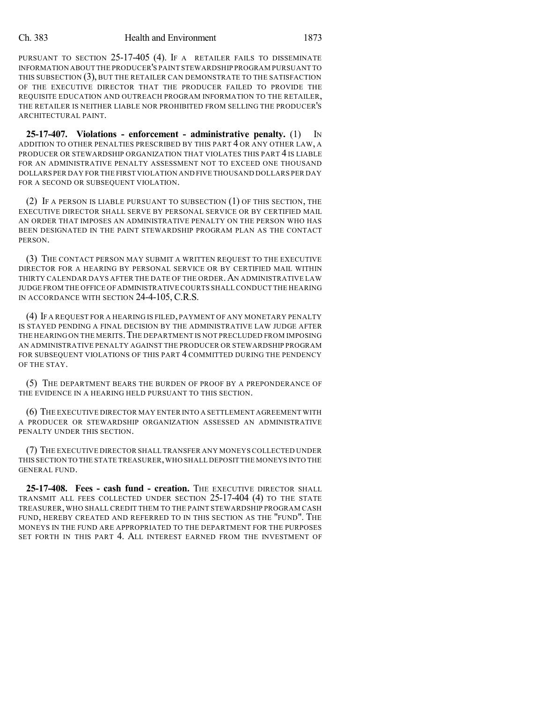PURSUANT TO SECTION 25-17-405 (4). IF A RETAILER FAILS TO DISSEMINATE INFORMATION ABOUT THE PRODUCER'S PAINT STEWARDSHIP PROGRAM PURSUANT TO THIS SUBSECTION (3), BUT THE RETAILER CAN DEMONSTRATE TO THE SATISFACTION OF THE EXECUTIVE DIRECTOR THAT THE PRODUCER FAILED TO PROVIDE THE REQUISITE EDUCATION AND OUTREACH PROGRAM INFORMATION TO THE RETAILER, THE RETAILER IS NEITHER LIABLE NOR PROHIBITED FROM SELLING THE PRODUCER'S ARCHITECTURAL PAINT.

**25-17-407. Violations - enforcement - administrative penalty.** (1) IN ADDITION TO OTHER PENALTIES PRESCRIBED BY THIS PART 4 OR ANY OTHER LAW, A PRODUCER OR STEWARDSHIP ORGANIZATION THAT VIOLATES THIS PART 4 IS LIABLE FOR AN ADMINISTRATIVE PENALTY ASSESSMENT NOT TO EXCEED ONE THOUSAND DOLLARS PER DAY FOR THE FIRST VIOLATION AND FIVE THOUSAND DOLLARS PER DAY FOR A SECOND OR SUBSEQUENT VIOLATION.

(2) IF A PERSON IS LIABLE PURSUANT TO SUBSECTION (1) OF THIS SECTION, THE EXECUTIVE DIRECTOR SHALL SERVE BY PERSONAL SERVICE OR BY CERTIFIED MAIL AN ORDER THAT IMPOSES AN ADMINISTRATIVE PENALTY ON THE PERSON WHO HAS BEEN DESIGNATED IN THE PAINT STEWARDSHIP PROGRAM PLAN AS THE CONTACT PERSON.

(3) THE CONTACT PERSON MAY SUBMIT A WRITTEN REQUEST TO THE EXECUTIVE DIRECTOR FOR A HEARING BY PERSONAL SERVICE OR BY CERTIFIED MAIL WITHIN THIRTY CALENDAR DAYS AFTER THE DATE OF THE ORDER.AN ADMINISTRATIVE LAW JUDGE FROM THE OFFICE OF ADMINISTRATIVE COURTS SHALL CONDUCT THE HEARING IN ACCORDANCE WITH SECTION 24-4-105, C.R.S.

(4) IF A REQUEST FOR A HEARING IS FILED, PAYMENT OF ANY MONETARY PENALTY IS STAYED PENDING A FINAL DECISION BY THE ADMINISTRATIVE LAW JUDGE AFTER THE HEARING ON THE MERITS.THE DEPARTMENT IS NOT PRECLUDED FROM IMPOSING AN ADMINISTRATIVE PENALTY AGAINST THE PRODUCER OR STEWARDSHIP PROGRAM FOR SUBSEQUENT VIOLATIONS OF THIS PART 4 COMMITTED DURING THE PENDENCY OF THE STAY.

(5) THE DEPARTMENT BEARS THE BURDEN OF PROOF BY A PREPONDERANCE OF THE EVIDENCE IN A HEARING HELD PURSUANT TO THIS SECTION.

(6) THE EXECUTIVE DIRECTOR MAY ENTER INTO A SETTLEMENT AGREEMENT WITH A PRODUCER OR STEWARDSHIP ORGANIZATION ASSESSED AN ADMINISTRATIVE PENALTY UNDER THIS SECTION.

(7) THE EXECUTIVE DIRECTOR SHALL TRANSFER ANY MONEYS COLLECTED UNDER THIS SECTION TO THE STATE TREASURER,WHO SHALL DEPOSIT THE MONEYS INTO THE GENERAL FUND.

**25-17-408. Fees - cash fund - creation.** THE EXECUTIVE DIRECTOR SHALL TRANSMIT ALL FEES COLLECTED UNDER SECTION 25-17-404 (4) TO THE STATE TREASURER, WHO SHALL CREDIT THEM TO THE PAINT STEWARDSHIP PROGRAM CASH FUND, HEREBY CREATED AND REFERRED TO IN THIS SECTION AS THE "FUND". THE MONEYS IN THE FUND ARE APPROPRIATED TO THE DEPARTMENT FOR THE PURPOSES SET FORTH IN THIS PART 4. ALL INTEREST EARNED FROM THE INVESTMENT OF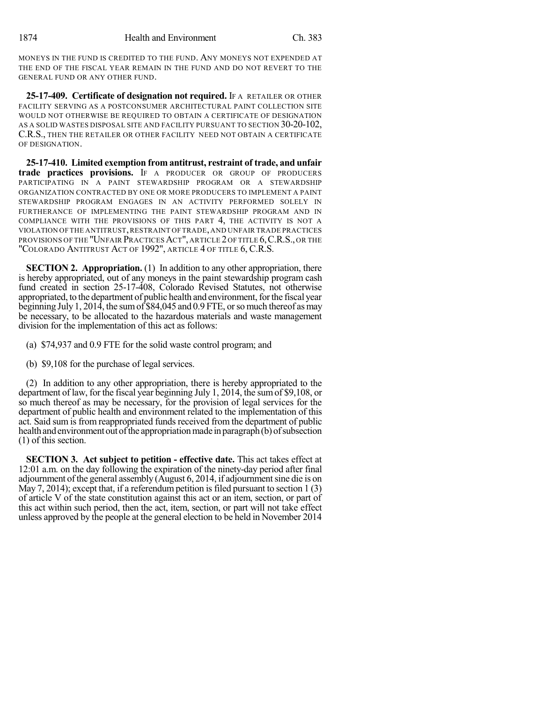MONEYS IN THE FUND IS CREDITED TO THE FUND. ANY MONEYS NOT EXPENDED AT THE END OF THE FISCAL YEAR REMAIN IN THE FUND AND DO NOT REVERT TO THE GENERAL FUND OR ANY OTHER FUND.

**25-17-409. Certificate of designation not required.** IF A RETAILER OR OTHER FACILITY SERVING AS A POSTCONSUMER ARCHITECTURAL PAINT COLLECTION SITE WOULD NOT OTHERWISE BE REQUIRED TO OBTAIN A CERTIFICATE OF DESIGNATION AS A SOLID WASTES DISPOSAL SITE AND FACILITY PURSUANT TO SECTION 30-20-102, C.R.S., THEN THE RETAILER OR OTHER FACILITY NEED NOT OBTAIN A CERTIFICATE OF DESIGNATION.

**25-17-410. Limited exemption from antitrust, restraint of trade, and unfair trade practices provisions.** IF A PRODUCER OR GROUP OF PRODUCERS PARTICIPATING IN A PAINT STEWARDSHIP PROGRAM OR A STEWARDSHIP ORGANIZATION CONTRACTED BY ONE OR MORE PRODUCERS TO IMPLEMENT A PAINT STEWARDSHIP PROGRAM ENGAGES IN AN ACTIVITY PERFORMED SOLELY IN FURTHERANCE OF IMPLEMENTING THE PAINT STEWARDSHIP PROGRAM AND IN COMPLIANCE WITH THE PROVISIONS OF THIS PART 4, THE ACTIVITY IS NOT A VIOLATION OF THE ANTITRUST,RESTRAINT OF TRADE,AND UNFAIR TRADE PRACTICES PROVISIONS OF THE "UNFAIR PRACTICES ACT", ARTICLE 2 OF TITLE 6, C.R.S., OR THE "COLORADO ANTITRUST ACT OF 1992", ARTICLE 4 OF TITLE 6, C.R.S.

**SECTION 2. Appropriation.** (1) In addition to any other appropriation, there is hereby appropriated, out of any moneys in the paint stewardship program cash fund created in section 25-17-408, Colorado Revised Statutes, not otherwise appropriated, to the department of public health and environment, for the fiscal year beginning July 1, 2014, the sum of \$84,045 and 0.9 FTE, or so much thereof as may be necessary, to be allocated to the hazardous materials and waste management division for the implementation of this act as follows:

- (a) \$74,937 and 0.9 FTE for the solid waste control program; and
- (b) \$9,108 for the purchase of legal services.

(2) In addition to any other appropriation, there is hereby appropriated to the department of law, for the fiscal year beginning July 1, 2014, the sum of \$9,108, or so much thereof as may be necessary, for the provision of legal services for the department of public health and environment related to the implementation of this act. Said sum is from reappropriated funds received from the department of public health and environment out of the appropriation made in paragraph(b) of subsection (1) of this section.

**SECTION 3. Act subject to petition - effective date.** This act takes effect at 12:01 a.m. on the day following the expiration of the ninety-day period after final adjournment of the general assembly  $(August 6, 2014, if adjour (168)$  adjournment sine die is on May 7, 2014); except that, if a referendum petition is filed pursuant to section 1 (3) of article V of the state constitution against this act or an item, section, or part of this act within such period, then the act, item, section, or part will not take effect unless approved by the people at the general election to be held in November 2014